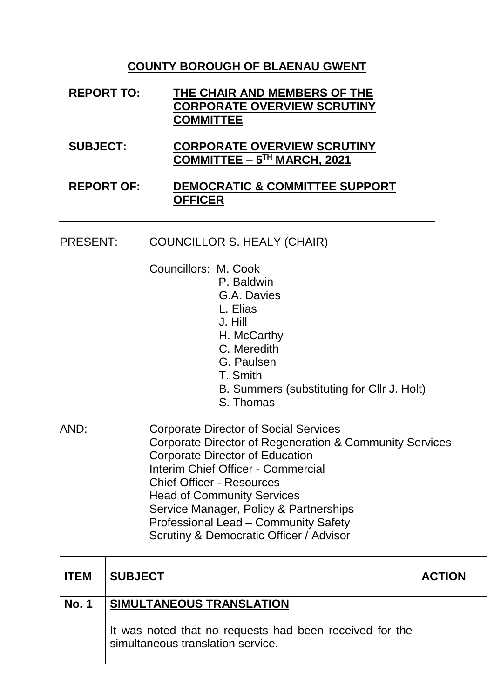## **COUNTY BOROUGH OF BLAENAU GWENT**

- **REPORT TO: THE CHAIR AND MEMBERS OF THE CORPORATE OVERVIEW SCRUTINY COMMITTEE**
- **SUBJECT: CORPORATE OVERVIEW SCRUTINY COMMITTEE – 5 TH MARCH, 2021**

### **REPORT OF: DEMOCRATIC & COMMITTEE SUPPORT OFFICER**

#### PRESENT: COUNCILLOR S. HEALY (CHAIR)

- Councillors: M. Cook
	- P. Baldwin
		- G.A. Davies
		- L. Elias
		- J. Hill
		- H. McCarthy
		- C. Meredith
		- G. Paulsen
		- T. Smith
		- B. Summers (substituting for Cllr J. Holt)
		- S. Thomas
- AND: Corporate Director of Social Services Corporate Director of Regeneration & Community Services Corporate Director of Education Interim Chief Officer - Commercial Chief Officer - Resources Head of Community Services Service Manager, Policy & Partnerships Professional Lead – Community Safety Scrutiny & Democratic Officer / Advisor

| <b>ITEM</b>  | <b>SUBJECT</b>                                                                               | <b>ACTION</b> |
|--------------|----------------------------------------------------------------------------------------------|---------------|
| <b>No. 1</b> | <b>SIMULTANEOUS TRANSLATION</b>                                                              |               |
|              | It was noted that no requests had been received for the<br>simultaneous translation service. |               |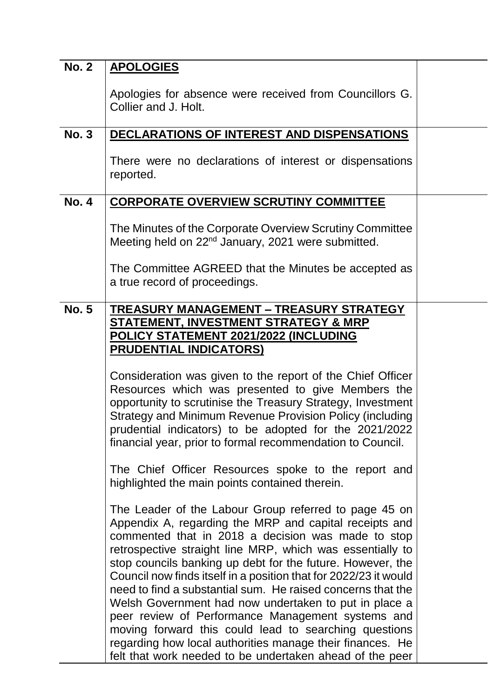| <b>No. 2</b> | <b>APOLOGIES</b>                                                                                                                                                                                                                                                                                                                                                                                                                                                                                                                                                                                                                                                                                                                    |  |
|--------------|-------------------------------------------------------------------------------------------------------------------------------------------------------------------------------------------------------------------------------------------------------------------------------------------------------------------------------------------------------------------------------------------------------------------------------------------------------------------------------------------------------------------------------------------------------------------------------------------------------------------------------------------------------------------------------------------------------------------------------------|--|
|              | Apologies for absence were received from Councillors G.<br>Collier and J. Holt.                                                                                                                                                                                                                                                                                                                                                                                                                                                                                                                                                                                                                                                     |  |
| <b>No. 3</b> | DECLARATIONS OF INTEREST AND DISPENSATIONS                                                                                                                                                                                                                                                                                                                                                                                                                                                                                                                                                                                                                                                                                          |  |
|              | There were no declarations of interest or dispensations<br>reported.                                                                                                                                                                                                                                                                                                                                                                                                                                                                                                                                                                                                                                                                |  |
| <b>No. 4</b> | <b>CORPORATE OVERVIEW SCRUTINY COMMITTEE</b>                                                                                                                                                                                                                                                                                                                                                                                                                                                                                                                                                                                                                                                                                        |  |
|              | The Minutes of the Corporate Overview Scrutiny Committee<br>Meeting held on 22 <sup>nd</sup> January, 2021 were submitted.                                                                                                                                                                                                                                                                                                                                                                                                                                                                                                                                                                                                          |  |
|              | The Committee AGREED that the Minutes be accepted as<br>a true record of proceedings.                                                                                                                                                                                                                                                                                                                                                                                                                                                                                                                                                                                                                                               |  |
| <b>No. 5</b> | <b>TREASURY MANAGEMENT - TREASURY STRATEGY</b>                                                                                                                                                                                                                                                                                                                                                                                                                                                                                                                                                                                                                                                                                      |  |
|              | <b>STATEMENT, INVESTMENT STRATEGY &amp; MRP</b>                                                                                                                                                                                                                                                                                                                                                                                                                                                                                                                                                                                                                                                                                     |  |
|              | <b>POLICY STATEMENT 2021/2022 (INCLUDING</b>                                                                                                                                                                                                                                                                                                                                                                                                                                                                                                                                                                                                                                                                                        |  |
|              | <b>PRUDENTIAL INDICATORS)</b>                                                                                                                                                                                                                                                                                                                                                                                                                                                                                                                                                                                                                                                                                                       |  |
|              | Consideration was given to the report of the Chief Officer<br>Resources which was presented to give Members the<br>opportunity to scrutinise the Treasury Strategy, Investment<br>Strategy and Minimum Revenue Provision Policy (including<br>prudential indicators) to be adopted for the 2021/2022<br>financial year, prior to formal recommendation to Council.                                                                                                                                                                                                                                                                                                                                                                  |  |
|              | The Chief Officer Resources spoke to the report and<br>highlighted the main points contained therein.                                                                                                                                                                                                                                                                                                                                                                                                                                                                                                                                                                                                                               |  |
|              | The Leader of the Labour Group referred to page 45 on<br>Appendix A, regarding the MRP and capital receipts and<br>commented that in 2018 a decision was made to stop<br>retrospective straight line MRP, which was essentially to<br>stop councils banking up debt for the future. However, the<br>Council now finds itself in a position that for 2022/23 it would<br>need to find a substantial sum. He raised concerns that the<br>Welsh Government had now undertaken to put in place a<br>peer review of Performance Management systems and<br>moving forward this could lead to searching questions<br>regarding how local authorities manage their finances. He<br>felt that work needed to be undertaken ahead of the peer |  |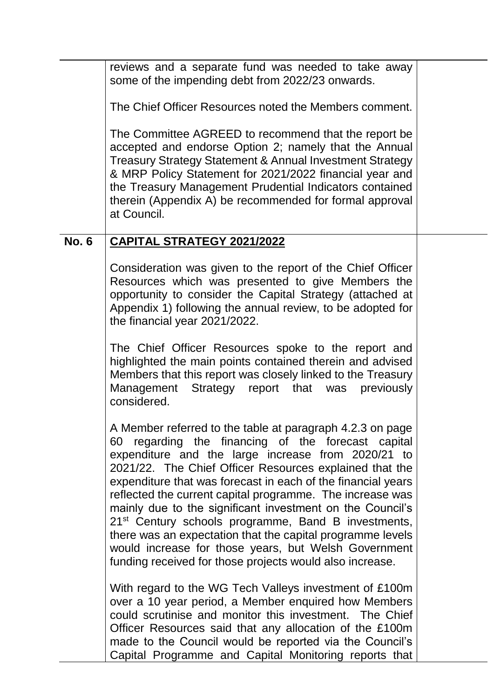reviews and a separate fund was needed to take away some of the impending debt from 2022/23 onwards.

The Chief Officer Resources noted the Members comment.

The Committee AGREED to recommend that the report be accepted and endorse Option 2; namely that the Annual Treasury Strategy Statement & Annual Investment Strategy & MRP Policy Statement for 2021/2022 financial year and the Treasury Management Prudential Indicators contained therein (Appendix A) be recommended for formal approval at Council.

## **No. 6 CAPITAL STRATEGY 2021/2022**

Consideration was given to the report of the Chief Officer Resources which was presented to give Members the opportunity to consider the Capital Strategy (attached at Appendix 1) following the annual review, to be adopted for the financial year 2021/2022.

The Chief Officer Resources spoke to the report and highlighted the main points contained therein and advised Members that this report was closely linked to the Treasury Management Strategy report that was previously considered.

A Member referred to the table at paragraph 4.2.3 on page 60 regarding the financing of the forecast capital expenditure and the large increase from 2020/21 to 2021/22. The Chief Officer Resources explained that the expenditure that was forecast in each of the financial years reflected the current capital programme. The increase was mainly due to the significant investment on the Council's 21<sup>st</sup> Century schools programme, Band B investments, there was an expectation that the capital programme levels would increase for those years, but Welsh Government funding received for those projects would also increase.

With regard to the WG Tech Valleys investment of £100m over a 10 year period, a Member enquired how Members could scrutinise and monitor this investment. The Chief Officer Resources said that any allocation of the £100m made to the Council would be reported via the Council's Capital Programme and Capital Monitoring reports that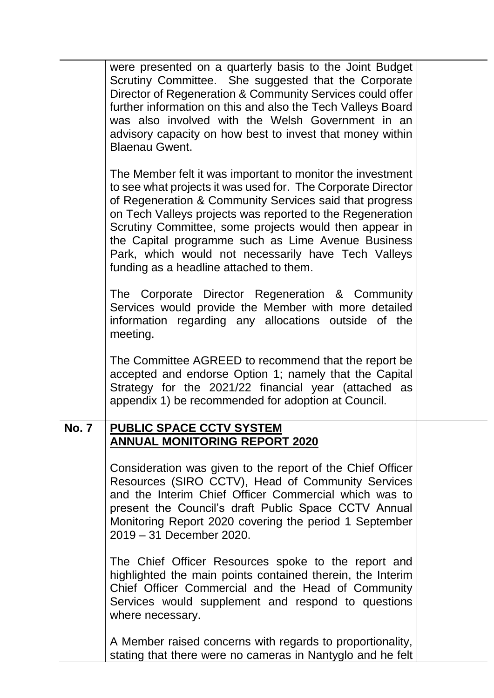|             | were presented on a quarterly basis to the Joint Budget<br>Scrutiny Committee. She suggested that the Corporate<br>Director of Regeneration & Community Services could offer<br>further information on this and also the Tech Valleys Board<br>was also involved with the Welsh Government in an<br>advisory capacity on how best to invest that money within<br><b>Blaenau Gwent.</b>                                                                               |  |
|-------------|----------------------------------------------------------------------------------------------------------------------------------------------------------------------------------------------------------------------------------------------------------------------------------------------------------------------------------------------------------------------------------------------------------------------------------------------------------------------|--|
|             | The Member felt it was important to monitor the investment<br>to see what projects it was used for. The Corporate Director<br>of Regeneration & Community Services said that progress<br>on Tech Valleys projects was reported to the Regeneration<br>Scrutiny Committee, some projects would then appear in<br>the Capital programme such as Lime Avenue Business<br>Park, which would not necessarily have Tech Valleys<br>funding as a headline attached to them. |  |
|             | The Corporate Director Regeneration & Community<br>Services would provide the Member with more detailed<br>information regarding any allocations outside of the<br>meeting.                                                                                                                                                                                                                                                                                          |  |
|             | The Committee AGREED to recommend that the report be<br>accepted and endorse Option 1; namely that the Capital<br>Strategy for the 2021/22 financial year (attached as<br>appendix 1) be recommended for adoption at Council.                                                                                                                                                                                                                                        |  |
| <b>No.7</b> | <b>PUBLIC SPACE CCTV SYSTEM</b><br><b>ANNUAL MONITORING REPORT 2020</b>                                                                                                                                                                                                                                                                                                                                                                                              |  |
|             | Consideration was given to the report of the Chief Officer<br>Resources (SIRO CCTV), Head of Community Services<br>and the Interim Chief Officer Commercial which was to<br>present the Council's draft Public Space CCTV Annual<br>Monitoring Report 2020 covering the period 1 September<br>2019 - 31 December 2020.                                                                                                                                               |  |
|             | The Chief Officer Resources spoke to the report and<br>highlighted the main points contained therein, the Interim<br>Chief Officer Commercial and the Head of Community<br>Services would supplement and respond to questions<br>where necessary.                                                                                                                                                                                                                    |  |
|             | A Member raised concerns with regards to proportionality,<br>stating that there were no cameras in Nantyglo and he felt                                                                                                                                                                                                                                                                                                                                              |  |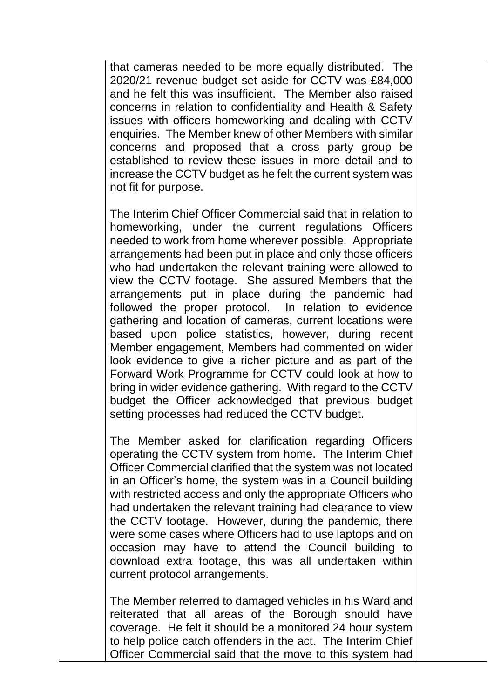that cameras needed to be more equally distributed. The 2020/21 revenue budget set aside for CCTV was £84,000 and he felt this was insufficient. The Member also raised concerns in relation to confidentiality and Health & Safety issues with officers homeworking and dealing with CCTV enquiries. The Member knew of other Members with similar concerns and proposed that a cross party group be established to review these issues in more detail and to increase the CCTV budget as he felt the current system was not fit for purpose.

The Interim Chief Officer Commercial said that in relation to homeworking, under the current regulations Officers needed to work from home wherever possible. Appropriate arrangements had been put in place and only those officers who had undertaken the relevant training were allowed to view the CCTV footage. She assured Members that the arrangements put in place during the pandemic had followed the proper protocol. In relation to evidence gathering and location of cameras, current locations were based upon police statistics, however, during recent Member engagement, Members had commented on wider look evidence to give a richer picture and as part of the Forward Work Programme for CCTV could look at how to bring in wider evidence gathering. With regard to the CCTV budget the Officer acknowledged that previous budget setting processes had reduced the CCTV budget.

The Member asked for clarification regarding Officers operating the CCTV system from home. The Interim Chief Officer Commercial clarified that the system was not located in an Officer's home, the system was in a Council building with restricted access and only the appropriate Officers who had undertaken the relevant training had clearance to view the CCTV footage. However, during the pandemic, there were some cases where Officers had to use laptops and on occasion may have to attend the Council building to download extra footage, this was all undertaken within current protocol arrangements.

The Member referred to damaged vehicles in his Ward and reiterated that all areas of the Borough should have coverage. He felt it should be a monitored 24 hour system to help police catch offenders in the act. The Interim Chief Officer Commercial said that the move to this system had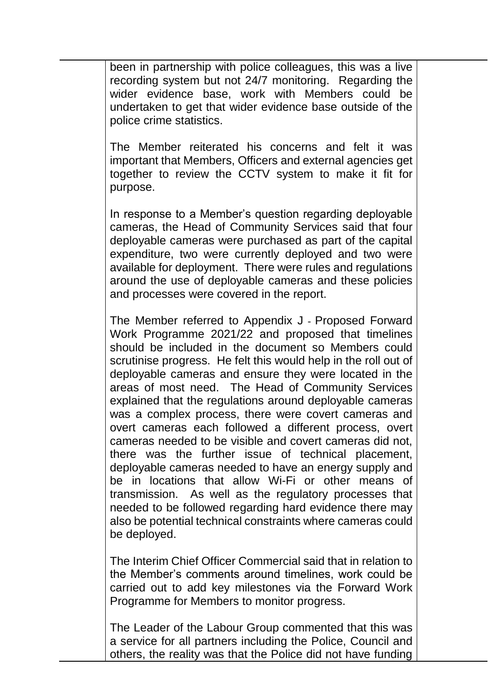been in partnership with police colleagues, this was a live recording system but not 24/7 monitoring. Regarding the wider evidence base, work with Members could be undertaken to get that wider evidence base outside of the police crime statistics.

The Member reiterated his concerns and felt it was important that Members, Officers and external agencies get together to review the CCTV system to make it fit for purpose.

In response to a Member's question regarding deployable cameras, the Head of Community Services said that four deployable cameras were purchased as part of the capital expenditure, two were currently deployed and two were available for deployment. There were rules and regulations around the use of deployable cameras and these policies and processes were covered in the report.

The Member referred to Appendix J - Proposed Forward Work Programme 2021/22 and proposed that timelines should be included in the document so Members could scrutinise progress. He felt this would help in the roll out of deployable cameras and ensure they were located in the areas of most need. The Head of Community Services explained that the regulations around deployable cameras was a complex process, there were covert cameras and overt cameras each followed a different process, overt cameras needed to be visible and covert cameras did not, there was the further issue of technical placement, deployable cameras needed to have an energy supply and be in locations that allow Wi-Fi or other means of transmission. As well as the regulatory processes that needed to be followed regarding hard evidence there may also be potential technical constraints where cameras could be deployed.

The Interim Chief Officer Commercial said that in relation to the Member's comments around timelines, work could be carried out to add key milestones via the Forward Work Programme for Members to monitor progress.

The Leader of the Labour Group commented that this was a service for all partners including the Police, Council and others, the reality was that the Police did not have funding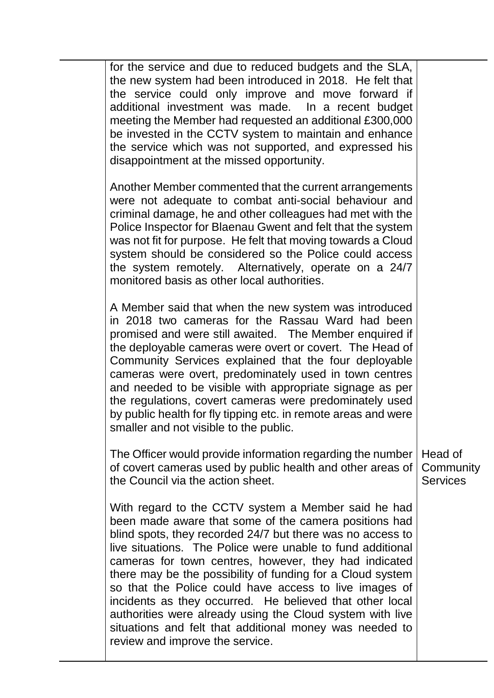| for the service and due to reduced budgets and the SLA,<br>the new system had been introduced in 2018. He felt that<br>the service could only improve and move forward if<br>additional investment was made. In a recent budget<br>meeting the Member had requested an additional £300,000<br>be invested in the CCTV system to maintain and enhance<br>the service which was not supported, and expressed his<br>disappointment at the missed opportunity.                                                                                                                                                                                      |                                         |
|--------------------------------------------------------------------------------------------------------------------------------------------------------------------------------------------------------------------------------------------------------------------------------------------------------------------------------------------------------------------------------------------------------------------------------------------------------------------------------------------------------------------------------------------------------------------------------------------------------------------------------------------------|-----------------------------------------|
| Another Member commented that the current arrangements<br>were not adequate to combat anti-social behaviour and<br>criminal damage, he and other colleagues had met with the<br>Police Inspector for Blaenau Gwent and felt that the system<br>was not fit for purpose. He felt that moving towards a Cloud<br>system should be considered so the Police could access<br>the system remotely. Alternatively, operate on a 24/7<br>monitored basis as other local authorities.                                                                                                                                                                    |                                         |
| A Member said that when the new system was introduced<br>in 2018 two cameras for the Rassau Ward had been<br>promised and were still awaited. The Member enquired if<br>the deployable cameras were overt or covert. The Head of<br>Community Services explained that the four deployable<br>cameras were overt, predominately used in town centres<br>and needed to be visible with appropriate signage as per<br>the regulations, covert cameras were predominately used<br>by public health for fly tipping etc. in remote areas and were<br>smaller and not visible to the public.                                                           |                                         |
| The Officer would provide information regarding the number<br>of covert cameras used by public health and other areas of<br>the Council via the action sheet.                                                                                                                                                                                                                                                                                                                                                                                                                                                                                    | Head of<br>Community<br><b>Services</b> |
| With regard to the CCTV system a Member said he had<br>been made aware that some of the camera positions had<br>blind spots, they recorded 24/7 but there was no access to<br>live situations. The Police were unable to fund additional<br>cameras for town centres, however, they had indicated<br>there may be the possibility of funding for a Cloud system<br>so that the Police could have access to live images of<br>incidents as they occurred. He believed that other local<br>authorities were already using the Cloud system with live<br>situations and felt that additional money was needed to<br>review and improve the service. |                                         |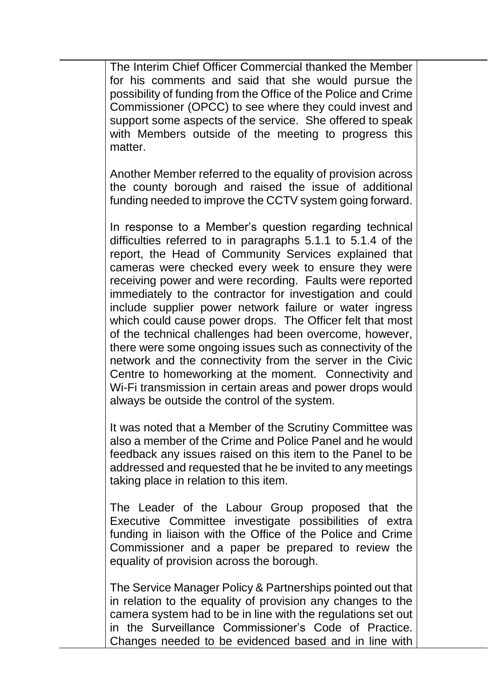The Interim Chief Officer Commercial thanked the Member for his comments and said that she would pursue the possibility of funding from the Office of the Police and Crime Commissioner (OPCC) to see where they could invest and support some aspects of the service. She offered to speak with Members outside of the meeting to progress this matter.

Another Member referred to the equality of provision across the county borough and raised the issue of additional funding needed to improve the CCTV system going forward.

In response to a Member's question regarding technical difficulties referred to in paragraphs 5.1.1 to 5.1.4 of the report, the Head of Community Services explained that cameras were checked every week to ensure they were receiving power and were recording. Faults were reported immediately to the contractor for investigation and could include supplier power network failure or water ingress which could cause power drops. The Officer felt that most of the technical challenges had been overcome, however, there were some ongoing issues such as connectivity of the network and the connectivity from the server in the Civic Centre to homeworking at the moment. Connectivity and Wi-Fi transmission in certain areas and power drops would always be outside the control of the system.

It was noted that a Member of the Scrutiny Committee was also a member of the Crime and Police Panel and he would feedback any issues raised on this item to the Panel to be addressed and requested that he be invited to any meetings taking place in relation to this item.

The Leader of the Labour Group proposed that the Executive Committee investigate possibilities of extra funding in liaison with the Office of the Police and Crime Commissioner and a paper be prepared to review the equality of provision across the borough.

The Service Manager Policy & Partnerships pointed out that in relation to the equality of provision any changes to the camera system had to be in line with the regulations set out in the Surveillance Commissioner's Code of Practice. Changes needed to be evidenced based and in line with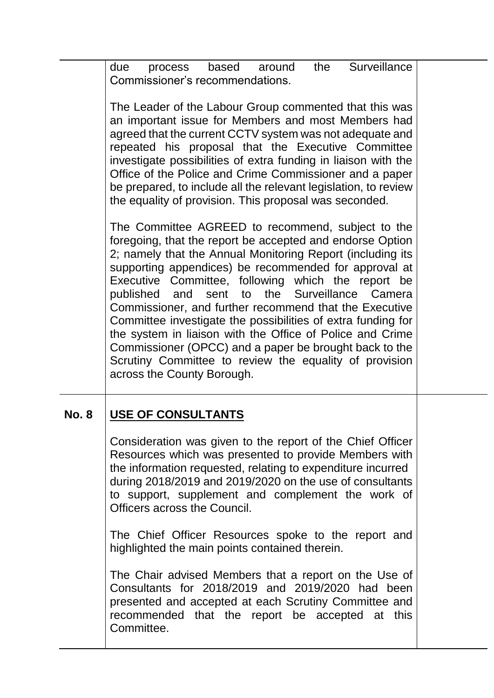due process based around the Surveillance Commissioner's recommendations.

The Leader of the Labour Group commented that this was an important issue for Members and most Members had agreed that the current CCTV system was not adequate and repeated his proposal that the Executive Committee investigate possibilities of extra funding in liaison with the Office of the Police and Crime Commissioner and a paper be prepared, to include all the relevant legislation, to review the equality of provision. This proposal was seconded.

The Committee AGREED to recommend, subject to the foregoing, that the report be accepted and endorse Option 2; namely that the Annual Monitoring Report (including its supporting appendices) be recommended for approval at Executive Committee, following which the report be published and sent to the Surveillance Camera Commissioner, and further recommend that the Executive Committee investigate the possibilities of extra funding for the system in liaison with the Office of Police and Crime Commissioner (OPCC) and a paper be brought back to the Scrutiny Committee to review the equality of provision across the County Borough.

# **No. 8 USE OF CONSULTANTS**

Consideration was given to the report of the Chief Officer Resources which was presented to provide Members with the information requested, relating to expenditure incurred during 2018/2019 and 2019/2020 on the use of consultants to support, supplement and complement the work of Officers across the Council.

The Chief Officer Resources spoke to the report and highlighted the main points contained therein.

The Chair advised Members that a report on the Use of Consultants for 2018/2019 and 2019/2020 had been presented and accepted at each Scrutiny Committee and recommended that the report be accepted at this **Committee.**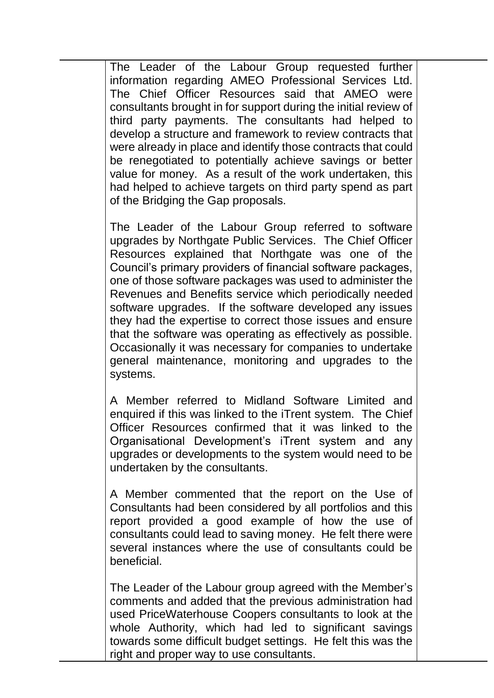The Leader of the Labour Group requested further information regarding AMEO Professional Services Ltd. The Chief Officer Resources said that AMEO were consultants brought in for support during the initial review of third party payments. The consultants had helped to develop a structure and framework to review contracts that were already in place and identify those contracts that could be renegotiated to potentially achieve savings or better value for money. As a result of the work undertaken, this had helped to achieve targets on third party spend as part of the Bridging the Gap proposals.

The Leader of the Labour Group referred to software upgrades by Northgate Public Services. The Chief Officer Resources explained that Northgate was one of the Council's primary providers of financial software packages, one of those software packages was used to administer the Revenues and Benefits service which periodically needed software upgrades. If the software developed any issues they had the expertise to correct those issues and ensure that the software was operating as effectively as possible. Occasionally it was necessary for companies to undertake general maintenance, monitoring and upgrades to the systems.

A Member referred to Midland Software Limited and enquired if this was linked to the iTrent system. The Chief Officer Resources confirmed that it was linked to the Organisational Development's iTrent system and any upgrades or developments to the system would need to be undertaken by the consultants.

A Member commented that the report on the Use of Consultants had been considered by all portfolios and this report provided a good example of how the use of consultants could lead to saving money. He felt there were several instances where the use of consultants could be beneficial.

The Leader of the Labour group agreed with the Member's comments and added that the previous administration had used PriceWaterhouse Coopers consultants to look at the whole Authority, which had led to significant savings towards some difficult budget settings. He felt this was the right and proper way to use consultants.